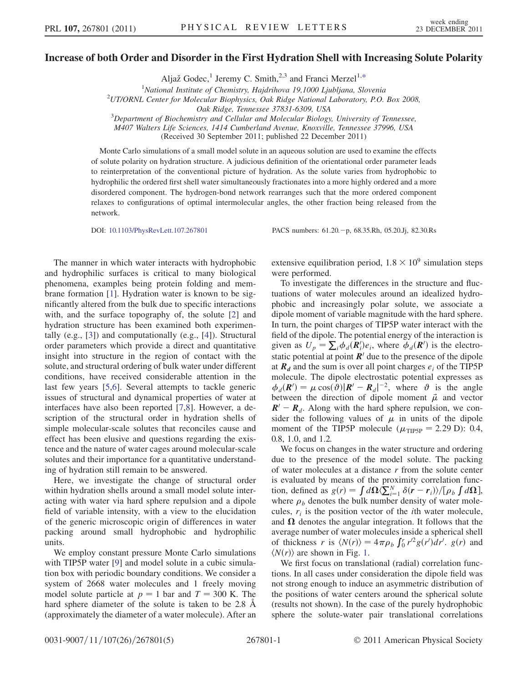## <span id="page-0-0"></span>Increase of both Order and Disorder in the First Hydration Shell with Increasing Solute Polarity

Aljaž Godec,<sup>1</sup> Jeremy C. Smith,<sup>2,3</sup> and Franci Merzel<sup>1,[\\*](#page-3-0)</sup>

<sup>1</sup>National Institute of Chemistry, Hajdrihova 19,1000 Ljubljana, Slovenia<br><sup>2</sup>UT/OPNI, Center for Molecular Biophysics, Oak Bidge National Laboratory, P.O.

 $^{2}$ UT/ORNL Center for Molecular Biophysics, Oak Ridge National Laboratory, P.O. Box 2008,

Oak Ridge, Tennessee 37831-6309, USA<br><sup>3</sup>Department of Biochemistry and Cellular and Molecular Biology, University of Tennessee,

M407 Walters Life Sciences, 1414 Cumberland Avenue, Knoxville, Tennessee 37996, USA

(Received 30 September 2011; published 22 December 2011)

Monte Carlo simulations of a small model solute in an aqueous solution are used to examine the effects of solute polarity on hydration structure. A judicious definition of the orientational order parameter leads to reinterpretation of the conventional picture of hydration. As the solute varies from hydrophobic to hydrophilic the ordered first shell water simultaneously fractionates into a more highly ordered and a more disordered component. The hydrogen-bond network rearranges such that the more ordered component relaxes to configurations of optimal intermolecular angles, the other fraction being released from the network.

DOI: [10.1103/PhysRevLett.107.267801](http://dx.doi.org/10.1103/PhysRevLett.107.267801) PACS numbers: 61.20. - p, 68.35.Rh, 05.20.Jj, 82.30.Rs

The manner in which water interacts with hydrophobic and hydrophilic surfaces is critical to many biological phenomena, examples being protein folding and membrane formation [[1](#page-3-1)]. Hydration water is known to be significantly altered from the bulk due to specific interactions with, and the surface topography of, the solute [[2\]](#page-3-2) and hydration structure has been examined both experimentally (e.g., [[3\]](#page-3-3)) and computationally (e.g., [\[4](#page-3-4)]). Structural order parameters which provide a direct and quantitative insight into structure in the region of contact with the solute, and structural ordering of bulk water under different conditions, have received considerable attention in the last few years [\[5,](#page-3-5)[6](#page-4-0)]. Several attempts to tackle generic issues of structural and dynamical properties of water at interfaces have also been reported [[7](#page-4-1)[,8\]](#page-4-2). However, a description of the structural order in hydration shells of simple molecular-scale solutes that reconciles cause and effect has been elusive and questions regarding the existence and the nature of water cages around molecular-scale solutes and their importance for a quantitative understanding of hydration still remain to be answered.

Here, we investigate the change of structural order within hydration shells around a small model solute interacting with water via hard sphere repulsion and a dipole field of variable intensity, with a view to the elucidation of the generic microscopic origin of differences in water packing around small hydrophobic and hydrophilic units.

We employ constant pressure Monte Carlo simulations with TIP5P water [\[9\]](#page-4-3) and model solute in a cubic simulation box with periodic boundary conditions. We consider a system of 2668 water molecules and 1 freely moving model solute particle at  $p = 1$  bar and  $T = 300$  K. The hard sphere diameter of the solute is taken to be 2.8 A (approximately the diameter of a water molecule). After an

extensive equilibration period,  $1.8 \times 10^9$  simulation steps were performed.

To investigate the differences in the structure and fluctuations of water molecules around an idealized hydrophobic and increasingly polar solute, we associate a dipole moment of variable magnitude with the hard sphere. In turn, the point charges of TIP5P water interact with the field of the dipole. The potential energy of the interaction is given as  $U_p = \sum_i \phi_d(\mathbf{R}'_i) e_i$ , where  $\phi_d(\mathbf{R}')$  is the electrostatic potential at point  $\mathbb{R}^{\prime}$  due to the presence of the dipole at  $R_d$  and the sum is over all point charges  $e_i$  of the TIP5P molecule. The dipole electrostatic potential expresses as  $\phi_d(\mathbf{R}') = \mu \cos(\vartheta) |\mathbf{R}' - \mathbf{R}_d|^{-2}$ , where  $\vartheta$  is the angle between the direction of dipole moment  $\vec{\mu}$  and vector  $R<sup>1</sup> - R<sub>d</sub>$ . Along with the hard sphere repulsion, we consider the following values of  $\mu$  in units of the dipole moment of the TIP5P molecule ( $\mu_{TIP5P} = 2.29$  D): 0.4, 0.8, 1.0, and 1.2.

We focus on changes in the water structure and ordering due to the presence of the model solute. The packing of water molecules at a distance  $r$  from the solute center is evaluated by means of the proximity correlation function, defined as  $g(r) = \int d\Omega \langle \sum_{i=1}^{N} \delta(r - r_i) \rangle / [\rho_b \int d\Omega],$ where  $\rho_b$  denotes the bulk number density of water molecules,  $r_i$  is the position vector of the *i*th water molecule, and  $\Omega$  denotes the angular integration. It follows that the average number of water molecules inside a spherical shell of thickness r is  $\langle N(r) \rangle = 4\pi \rho_b \int_0^r r'^2 g(r') dr'$ .  $g(r)$  and  $\langle N(r) \rangle$  are shown in Fig. [1](#page-1-0).

We first focus on translational (radial) correlation functions. In all cases under consideration the dipole field was not strong enough to induce an asymmetric distribution of the positions of water centers around the spherical solute (results not shown). In the case of the purely hydrophobic sphere the solute-water pair translational correlations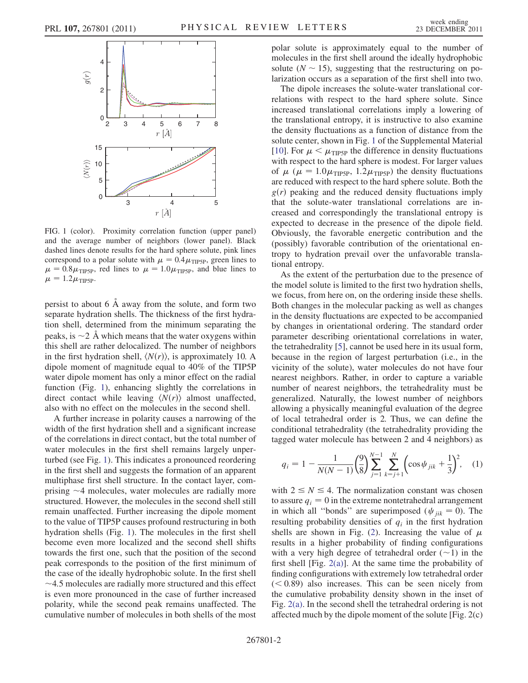<span id="page-1-0"></span>

FIG. 1 (color). Proximity correlation function (upper panel) and the average number of neighbors (lower panel). Black dashed lines denote results for the hard sphere solute, pink lines correspond to a polar solute with  $\mu = 0.4 \mu_{\text{TIPSP}}$ , green lines to  $\mu = 0.8 \mu_{\text{TIPSP}}$ , red lines to  $\mu = 1.0 \mu_{\text{TIPSP}}$ , and blue lines to  $\mu = 1.2 \mu_{\text{TIP5P}}.$ 

persist to about  $6 \text{ Å}$  away from the solute, and form two separate hydration shells. The thickness of the first hydration shell, determined from the minimum separating the peaks, is  $\sim$  2 Å which means that the water oxygens within this shell are rather delocalized. The number of neighbors in the first hydration shell,  $\langle N(r) \rangle$ , is approximately 10. A dipole moment of magnitude equal to 40% of the TIP5P water dipole moment has only a minor effect on the radial function (Fig. [1\)](#page-1-0), enhancing slightly the correlations in direct contact while leaving  $\langle N(r) \rangle$  almost unaffected, also with no effect on the molecules in the second shell.

A further increase in polarity causes a narrowing of the width of the first hydration shell and a significant increase of the correlations in direct contact, but the total number of water molecules in the first shell remains largely unperturbed (see Fig. [1\)](#page-1-0). This indicates a pronounced reordering in the first shell and suggests the formation of an apparent multiphase first shell structure. In the contact layer, comprising  $\sim$ 4 molecules, water molecules are radially more structured. However, the molecules in the second shell still remain unaffected. Further increasing the dipole moment to the value of TIP5P causes profound restructuring in both hydration shells (Fig. [1\)](#page-1-0). The molecules in the first shell become even more localized and the second shell shifts towards the first one, such that the position of the second peak corresponds to the position of the first minimum of the case of the ideally hydrophobic solute. In the first shell  $\sim$  4.5 molecules are radially more structured and this effect is even more pronounced in the case of further increased polarity, while the second peak remains unaffected. The cumulative number of molecules in both shells of the most polar solute is approximately equal to the number of molecules in the first shell around the ideally hydrophobic solute ( $N \sim 15$ ), suggesting that the restructuring on polarization occurs as a separation of the first shell into two.

The dipole increases the solute-water translational correlations with respect to the hard sphere solute. Since increased translational correlations imply a lowering of the translational entropy, it is instructive to also examine the density fluctuations as a function of distance from the solute center, shown in Fig. [1](#page-1-0) of the Supplemental Material [\[10\]](#page-4-4). For  $\mu < \mu_{\text{TIP5P}}$  the difference in density fluctuations with respect to the hard sphere is modest. For larger values of  $\mu$  ( $\mu = 1.0 \mu_{\text{TIPSP}}$ , 1.2 $\mu_{\text{TIPSP}}$ ) the density fluctuations are reduced with respect to the hard sphere solute. Both the  $g(r)$  peaking and the reduced density fluctuations imply that the solute-water translational correlations are increased and correspondingly the translational entropy is expected to decrease in the presence of the dipole field. Obviously, the favorable energetic contribution and the (possibly) favorable contribution of the orientational entropy to hydration prevail over the unfavorable translational entropy.

As the extent of the perturbation due to the presence of the model solute is limited to the first two hydration shells, we focus, from here on, on the ordering inside these shells. Both changes in the molecular packing as well as changes in the density fluctuations are expected to be accompanied by changes in orientational ordering. The standard order parameter describing orientational correlations in water, the tetrahedrality [[5](#page-3-5)], cannot be used here in its usual form, because in the region of largest perturbation (i.e., in the vicinity of the solute), water molecules do not have four nearest neighbors. Rather, in order to capture a variable number of nearest neighbors, the tetrahedrality must be generalized. Naturally, the lowest number of neighbors allowing a physically meaningful evaluation of the degree of local tetrahedral order is 2. Thus, we can define the conditional tetrahedrality (the tetrahedrality providing the tagged water molecule has between 2 and 4 neighbors) as

$$
q_i = 1 - \frac{1}{N(N-1)} \left(\frac{9}{8}\right) \sum_{j=1}^{N-1} \sum_{k=j+1}^{N} \left(\cos\psi_{jik} + \frac{1}{3}\right)^2, \quad (1)
$$

with  $2 \le N \le 4$ . The normalization constant was chosen to assure  $q_i = 0$  in the extreme nontetrahedral arrangement in which all "bonds" are superimposed ( $\psi_{ijk} = 0$ ). The resulting probability densities of  $q_i$  in the first hydration shells are shown in Fig. ([2](#page-2-0)). Increasing the value of  $\mu$ results in a higher probability of finding configurations with a very high degree of tetrahedral order  $(\sim 1)$  in the first shell [Fig. [2\(a\)](#page-2-1)]. At the same time the probability of finding configurations with extremely low tetrahedral order  $(< 0.89$ ) also increases. This can be seen nicely from the cumulative probability density shown in the inset of Fig. [2\(a\).](#page-2-1) In the second shell the tetrahedral ordering is not affected much by the dipole moment of the solute [Fig. 2(c)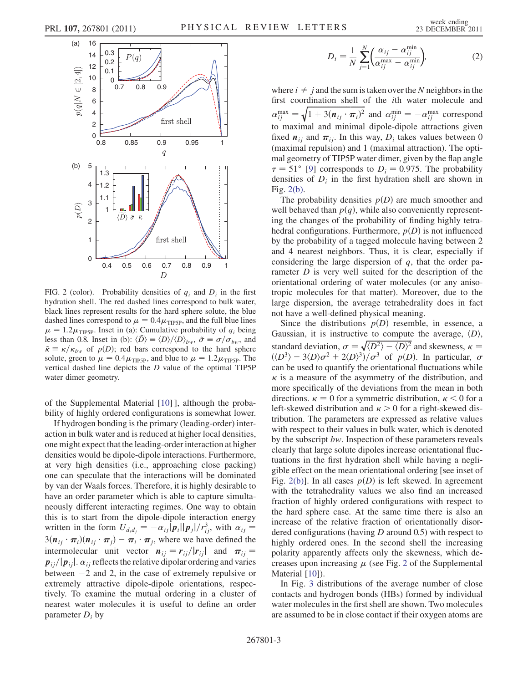<span id="page-2-0"></span>

<span id="page-2-1"></span>FIG. 2 (color). Probability densities of  $q_i$  and  $D_i$  in the first hydration shell. The red dashed lines correspond to bulk water, black lines represent results for the hard sphere solute, the blue dashed lines correspond to  $\mu = 0.4 \mu_{TIP5P}$ , and the full blue lines  $\mu = 1.2 \mu_{\text{TIPSP}}$ . Inset in (a): Cumulative probability of  $q_i$  being less than 0.8. Inset in (b):  $\langle \tilde{D} \rangle = \langle D \rangle / \langle D \rangle_{bw}$ ,  $\tilde{\sigma} = \sigma / \sigma_{bw}$ , and  $\tilde{\kappa} \equiv \kappa / \kappa_{bw}$  of  $p(D)$ ; red bars correspond to the hard sphere solute, green to  $\mu = 0.4 \mu_{\text{TIPSP}}$ , and blue to  $\mu = 1.2 \mu_{\text{TIPSP}}$ . The vertical dashed line depicts the D value of the optimal TIP5P water dimer geometry.

of the Supplemental Material [\[10\]](#page-4-4) ], although the probability of highly ordered configurations is somewhat lower.

If hydrogen bonding is the primary (leading-order) interaction in bulk water and is reduced at higher local densities, one might expect that the leading-order interaction at higher densities would be dipole-dipole interactions. Furthermore, at very high densities (i.e., approaching close packing) one can speculate that the interactions will be dominated by van der Waals forces. Therefore, it is highly desirable to have an order parameter which is able to capture simultaneously different interacting regimes. One way to obtain this is to start from the dipole-dipole interaction energy written in the form  $U_{d_i d_j} = -\alpha_{ij} |\mathbf{p}_i||\mathbf{p}_j|/r_{ij}^3$ , with  $\alpha_{ij} =$  $3(n_{ij} \cdot \pi_i)(n_{ij} \cdot \pi_j) - \pi_i \cdot \pi_j$ , where we have defined the intermolecular unit vector  $n_{ij} = r_{ij}/|r_{ij}|$  and  $\pi_{ij} =$  $p_{ii}/|p_{ii}|$ .  $\alpha_{ii}$  reflects the relative dipolar ordering and varies between  $-2$  and 2, in the case of extremely repulsive or extremely attractive dipole-dipole orientations, respectively. To examine the mutual ordering in a cluster of nearest water molecules it is useful to define an order parameter  $D_i$  by

$$
D_i = \frac{1}{N} \sum_{j=1}^{N} \left( \frac{\alpha_{ij} - \alpha_{ij}^{\min}}{\alpha_{ij}^{\max} - \alpha_{ij}^{\min}} \right),
$$
 (2)

where  $i \neq j$  and the sum is taken over the N neighbors in the first coordination shell of the ith water molecule and  $\alpha_{ij}^{\max} = \sqrt{1 + 3(n_{ij} \cdot \pi_i)^2}$  and  $\alpha_{ij}^{\min} = -\alpha_{ij}^{\max}$  correspond to maximal and minimal dipole-dipole attractions given fixed  $n_{ij}$  and  $\pi_{ij}$ . In this way,  $D_i$  takes values between 0 (maximal repulsion) and 1 (maximal attraction). The optimal geometry of TIP5P water dimer, given by the flap angle  $\tau = 51^{\circ}$  [\[9](#page-4-3)] corresponds to  $D_i = 0.975$ . The probability densities of  $D_i$  in the first hydration shell are shown in Fig. [2\(b\).](#page-2-1)

The probability densities  $p(D)$  are much smoother and well behaved than  $p(q)$ , while also conveniently representing the changes of the probability of finding highly tetrahedral configurations. Furthermore,  $p(D)$  is not influenced by the probability of a tagged molecule having between 2 and 4 nearest neighbors. Thus, it is clear, especially if considering the large dispersion of  $q$ , that the order parameter D is very well suited for the description of the orientational ordering of water molecules (or any anisotropic molecules for that matter). Moreover, due to the large dispersion, the average tetrahedrality does in fact not have a well-defined physical meaning.

Since the distributions  $p(D)$  resemble, in essence, a Gaussian, it is instructive to compute the average,  $\langle D \rangle$ , standard deviation,  $\sigma = \sqrt{\langle D^2 \rangle - \langle D \rangle^2}$  and skewness,  $\kappa = \langle E \rangle$  $(\langle D^3 \rangle - 3\langle D \rangle \sigma^2 + 2\langle D \rangle^3)/\sigma^3$  of  $p(D)$ . In particular,  $\sigma$ can be used to quantify the orientational fluctuations while  $\kappa$  is a measure of the asymmetry of the distribution, and more specifically of the deviations from the mean in both directions.  $\kappa = 0$  for a symmetric distribution,  $\kappa < 0$  for a left-skewed distribution and  $\kappa > 0$  for a right-skewed distribution. The parameters are expressed as relative values with respect to their values in bulk water, which is denoted by the subscript bw. Inspection of these parameters reveals clearly that large solute dipoles increase orientational fluctuations in the first hydration shell while having a negligible effect on the mean orientational ordering [see inset of Fig. [2\(b\)](#page-2-1)]. In all cases  $p(D)$  is left skewed. In agreement with the tetrahedrality values we also find an increased fraction of highly ordered configurations with respect to the hard sphere case. At the same time there is also an increase of the relative fraction of orientationally disordered configurations (having  $D$  around 0.5) with respect to highly ordered ones. In the second shell the increasing polarity apparently affects only the skewness, which decreases upon increasing  $\mu$  (see Fig. [2](#page-2-0) of the Supplemental Material [\[10\]](#page-4-4)).

In Fig. [3](#page-3-6) distributions of the average number of close contacts and hydrogen bonds (HBs) formed by individual water molecules in the first shell are shown. Two molecules are assumed to be in close contact if their oxygen atoms are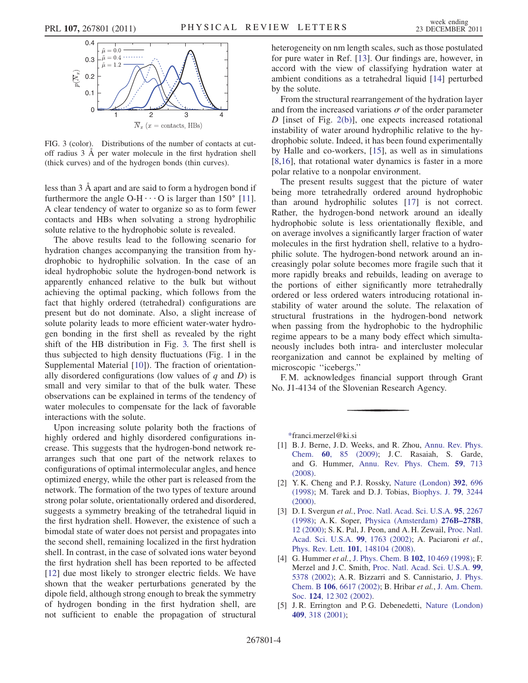<span id="page-3-6"></span>

FIG. 3 (color). Distributions of the number of contacts at cutoff radius 3 Å per water molecule in the first hydration shell (thick curves) and of the hydrogen bonds (thin curves).

less than 3 A apart and are said to form a hydrogen bond if furthermore the angle O-H $\cdots$ O is larger than 150° [\[11\]](#page-4-5). A clear tendency of water to organize so as to form fewer contacts and HBs when solvating a strong hydrophilic solute relative to the hydrophobic solute is revealed.

The above results lead to the following scenario for hydration changes accompanying the transition from hydrophobic to hydrophilic solvation. In the case of an ideal hydrophobic solute the hydrogen-bond network is apparently enhanced relative to the bulk but without achieving the optimal packing, which follows from the fact that highly ordered (tetrahedral) configurations are present but do not dominate. Also, a slight increase of solute polarity leads to more efficient water-water hydrogen bonding in the first shell as revealed by the right shift of the HB distribution in Fig. [3.](#page-3-6) The first shell is thus subjected to high density fluctuations (Fig. 1 in the Supplemental Material [[10](#page-4-4)]). The fraction of orientationally disordered configurations (low values of  $q$  and  $D$ ) is small and very similar to that of the bulk water. These observations can be explained in terms of the tendency of water molecules to compensate for the lack of favorable interactions with the solute.

Upon increasing solute polarity both the fractions of highly ordered and highly disordered configurations increase. This suggests that the hydrogen-bond network rearranges such that one part of the network relaxes to configurations of optimal intermolecular angles, and hence optimized energy, while the other part is released from the network. The formation of the two types of texture around strong polar solute, orientationally ordered and disordered, suggests a symmetry breaking of the tetrahedral liquid in the first hydration shell. However, the existence of such a bimodal state of water does not persist and propagates into the second shell, remaining localized in the first hydration shell. In contrast, in the case of solvated ions water beyond the first hydration shell has been reported to be affected [\[12\]](#page-4-6) due most likely to stronger electric fields. We have shown that the weaker perturbations generated by the dipole field, although strong enough to break the symmetry of hydrogen bonding in the first hydration shell, are not sufficient to enable the propagation of structural heterogeneity on nm length scales, such as those postulated for pure water in Ref. [\[13\]](#page-4-7). Our findings are, however, in accord with the view of classifying hydration water at ambient conditions as a tetrahedral liquid [\[14\]](#page-4-8) perturbed by the solute.

From the structural rearrangement of the hydration layer and from the increased variations  $\sigma$  of the order parameter D [inset of Fig.  $2(b)$ ], one expects increased rotational instability of water around hydrophilic relative to the hydrophobic solute. Indeed, it has been found experimentally by Halle and co-workers, [\[15](#page-4-9)], as well as in simulations [\[8,](#page-4-2)[16\]](#page-4-10), that rotational water dynamics is faster in a more polar relative to a nonpolar environment.

The present results suggest that the picture of water being more tetrahedrally ordered around hydrophobic than around hydrophilic solutes [\[17\]](#page-4-11) is not correct. Rather, the hydrogen-bond network around an ideally hydrophobic solute is less orientationally flexible, and on average involves a significantly larger fraction of water molecules in the first hydration shell, relative to a hydrophilic solute. The hydrogen-bond network around an increasingly polar solute becomes more fragile such that it more rapidly breaks and rebuilds, leading on average to the portions of either significantly more tetrahedrally ordered or less ordered waters introducing rotational instability of water around the solute. The relaxation of structural frustrations in the hydrogen-bond network when passing from the hydrophobic to the hydrophilic regime appears to be a many body effect which simultaneously includes both intra- and intercluster molecular reorganization and cannot be explained by melting of microscopic ''icebergs.''

F. M. acknowledges financial support through Grant No. J1-4134 of the Slovenian Research Agency.

<span id="page-3-0"></span>[\\*f](#page-0-0)ranci.merzel@ki.si

- <span id="page-3-1"></span>[1] B.J. Berne, J.D. Weeks, and R. Zhou, [Annu. Rev. Phys.](http://dx.doi.org/10.1146/annurev.physchem.58.032806.104445) Chem. 60[, 85 \(2009\)](http://dx.doi.org/10.1146/annurev.physchem.58.032806.104445); J. C. Rasaiah, S. Garde, and G. Hummer, [Annu. Rev. Phys. Chem.](http://dx.doi.org/10.1146/annurev.physchem.59.032607.093815) 59, 713 [\(2008\)](http://dx.doi.org/10.1146/annurev.physchem.59.032607.093815).
- <span id="page-3-2"></span>[2] Y.K. Cheng and P.J. Rossky, [Nature \(London\)](http://dx.doi.org/10.1038/33653) 392, 696 [\(1998\)](http://dx.doi.org/10.1038/33653); M. Tarek and D. J. Tobias, [Biophys. J.](http://dx.doi.org/10.1016/S0006-3495(00)76557-X) 79, 3244 [\(2000\)](http://dx.doi.org/10.1016/S0006-3495(00)76557-X).
- <span id="page-3-3"></span>[3] D. I. Svergun et al., [Proc. Natl. Acad. Sci. U.S.A.](http://dx.doi.org/10.1073/pnas.95.5.2267) 95, 2267 [\(1998\)](http://dx.doi.org/10.1073/pnas.95.5.2267); A. K. Soper, [Physica \(Amsterdam\)](http://dx.doi.org/10.1016/S0921-4526(99)01471-4) 276B–278B, [12 \(2000\);](http://dx.doi.org/10.1016/S0921-4526(99)01471-4) S. K. Pal, J. Peon, and A. H. Zewail, [Proc. Natl.](http://dx.doi.org/10.1073/pnas.042697899) [Acad. Sci. U.S.A.](http://dx.doi.org/10.1073/pnas.042697899) 99, 1763 (2002); A. Paciaroni et al., Phys. Rev. Lett. 101[, 148104 \(2008\).](http://dx.doi.org/10.1103/PhysRevLett.101.148104)
- <span id="page-3-4"></span>[4] G. Hummer et al., [J. Phys. Chem. B](http://dx.doi.org/10.1021/jp982873%2B) 102, 10 469 (1998); F. Merzel and J. C. Smith, [Proc. Natl. Acad. Sci. U.S.A.](http://dx.doi.org/10.1073/pnas.082335099) 99, [5378 \(2002\);](http://dx.doi.org/10.1073/pnas.082335099) A. R. Bizzarri and S. Cannistario, [J. Phys.](http://dx.doi.org/10.1021/jp020100m) Chem. B 106[, 6617 \(2002\);](http://dx.doi.org/10.1021/jp020100m) B. Hribar et al., [J. Am. Chem.](http://dx.doi.org/10.1021/ja026014h) Soc. 124[, 12 302 \(2002\).](http://dx.doi.org/10.1021/ja026014h)
- <span id="page-3-5"></span>[5] J. R. Errington and P. G. Debenedetti, [Nature \(London\)](http://dx.doi.org/10.1038/35053024) 409[, 318 \(2001\);](http://dx.doi.org/10.1038/35053024)